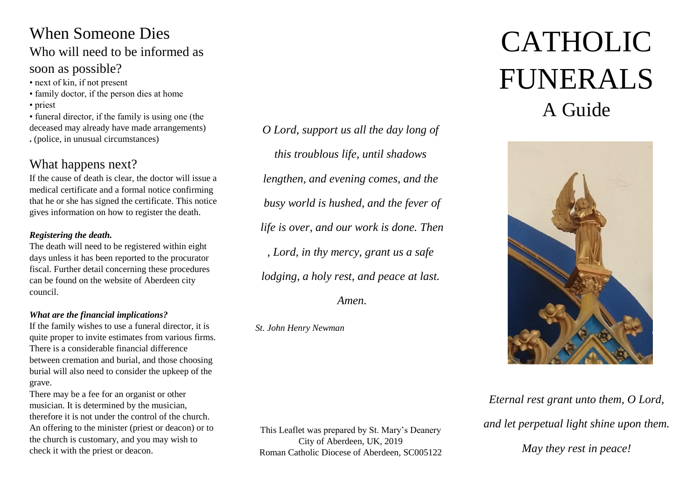# When Someone Dies

# Who will need to be informed as soon as possible?

- next of kin, if not present
- family doctor, if the person dies at home
- priest

• funeral director, if the family is using one (the deceased may already have made arrangements) **.** (police, in unusual circumstances)

# What happens next?

If the cause of death is clear, the doctor will issue a medical certificate and a formal notice confirming that he or she has signed the certificate. This notice gives information on how to register the death.

#### *Registering the death.*

The death will need to be registered within eight days unless it has been reported to the procurator fiscal. Further detail concerning these procedures can be found on the website of Aberdeen city council.

#### *What are the financial implications?*

If the family wishes to use a funeral director, it is quite proper to invite estimates from various firms. There is a considerable financial difference between cremation and burial, and those choosing burial will also need to consider the upkeep of the grave.

There may be a fee for an organist or other musician. It is determined by the musician, therefore it is not under the control of the church. An offering to the minister (priest or deacon) or to the church is customary, and you may wish to check it with the priest or deacon.

*O Lord, support us all the day long of this troublous life, until shadows lengthen, and evening comes, and the busy world is hushed, and the fever of life is over, and our work is done. Then , Lord, in thy mercy, grant us a safe lodging, a holy rest, and peace at last.*

*Amen.*

*St. John Henry Newman* 

This Leaflet was prepared by St. Mary's Deanery City of Aberdeen, UK, 2019 Roman Catholic Diocese of Aberdeen, SC005122

# CATHOLIC FUNERALS A Guide



# *Eternal rest grant unto them, O Lord, and let perpetual light shine upon them. May they rest in peace!*